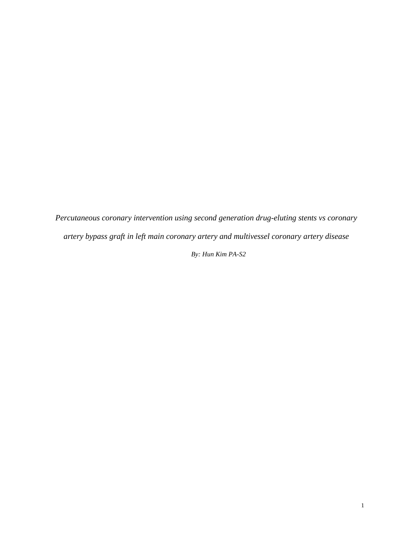*Percutaneous coronary intervention using second generation drug-eluting stents vs coronary artery bypass graft in left main coronary artery and multivessel coronary artery disease By: Hun Kim PA-S2*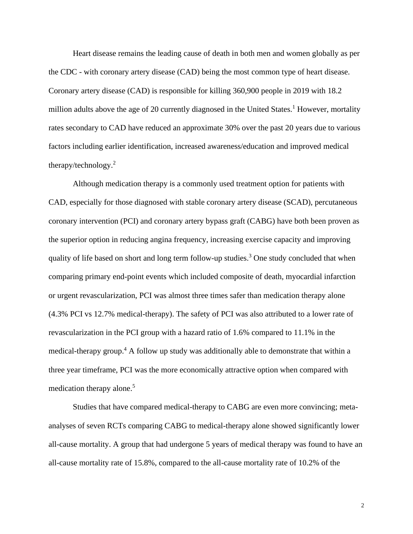Heart disease remains the leading cause of death in both men and women globally as per the CDC - with coronary artery disease (CAD) being the most common type of heart disease. Coronary artery disease (CAD) is responsible for killing 360,900 people in 2019 with 18.2 million adults above the age of 20 currently diagnosed in the United States.<sup>1</sup> However, mortality rates secondary to CAD have reduced an approximate 30% over the past 20 years due to various factors including earlier identification, increased awareness/education and improved medical therapy/technology.<sup>2</sup>

Although medication therapy is a commonly used treatment option for patients with CAD, especially for those diagnosed with stable coronary artery disease (SCAD), percutaneous coronary intervention (PCI) and coronary artery bypass graft (CABG) have both been proven as the superior option in reducing angina frequency, increasing exercise capacity and improving quality of life based on short and long term follow-up studies.<sup>3</sup> One study concluded that when comparing primary end-point events which included composite of death, myocardial infarction or urgent revascularization, PCI was almost three times safer than medication therapy alone (4.3% PCI vs 12.7% medical-therapy). The safety of PCI was also attributed to a lower rate of revascularization in the PCI group with a hazard ratio of 1.6% compared to 11.1% in the medical-therapy group.<sup>4</sup> A follow up study was additionally able to demonstrate that within a three year timeframe, PCI was the more economically attractive option when compared with medication therapy alone.<sup>5</sup>

Studies that have compared medical-therapy to CABG are even more convincing; metaanalyses of seven RCTs comparing CABG to medical-therapy alone showed significantly lower all-cause mortality. A group that had undergone 5 years of medical therapy was found to have an all-cause mortality rate of 15.8%, compared to the all-cause mortality rate of 10.2% of the

2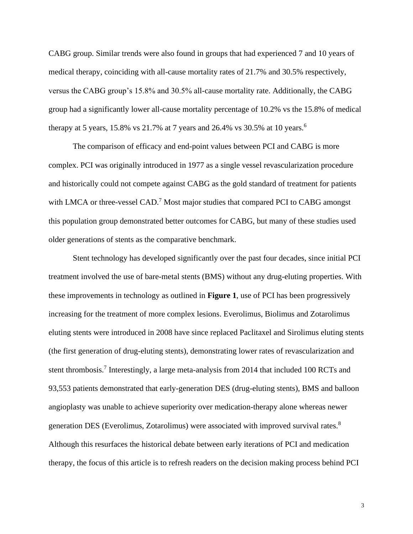CABG group. Similar trends were also found in groups that had experienced 7 and 10 years of medical therapy, coinciding with all-cause mortality rates of 21.7% and 30.5% respectively, versus the CABG group's 15.8% and 30.5% all-cause mortality rate. Additionally, the CABG group had a significantly lower all-cause mortality percentage of 10.2% vs the 15.8% of medical therapy at 5 years, 15.8% vs 21.7% at 7 years and 26.4% vs 30.5% at 10 years.<sup>6</sup>

The comparison of efficacy and end-point values between PCI and CABG is more complex. PCI was originally introduced in 1977 as a single vessel revascularization procedure and historically could not compete against CABG as the gold standard of treatment for patients with LMCA or three-vessel CAD.<sup>7</sup> Most major studies that compared PCI to CABG amongst this population group demonstrated better outcomes for CABG, but many of these studies used older generations of stents as the comparative benchmark.

Stent technology has developed significantly over the past four decades, since initial PCI treatment involved the use of bare-metal stents (BMS) without any drug-eluting properties. With these improvements in technology as outlined in **Figure 1**, use of PCI has been progressively increasing for the treatment of more complex lesions. Everolimus, Biolimus and Zotarolimus eluting stents were introduced in 2008 have since replaced Paclitaxel and Sirolimus eluting stents (the first generation of drug-eluting stents), demonstrating lower rates of revascularization and stent thrombosis.<sup>7</sup> Interestingly, a large meta-analysis from 2014 that included 100 RCTs and 93,553 patients demonstrated that early-generation DES (drug-eluting stents), BMS and balloon angioplasty was unable to achieve superiority over medication-therapy alone whereas newer generation DES (Everolimus, Zotarolimus) were associated with improved survival rates.<sup>8</sup> Although this resurfaces the historical debate between early iterations of PCI and medication therapy, the focus of this article is to refresh readers on the decision making process behind PCI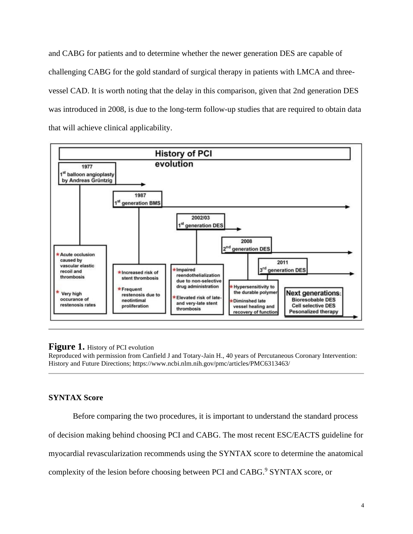and CABG for patients and to determine whether the newer generation DES are capable of challenging CABG for the gold standard of surgical therapy in patients with LMCA and threevessel CAD. It is worth noting that the delay in this comparison, given that 2nd generation DES was introduced in 2008, is due to the long-term follow-up studies that are required to obtain data that will achieve clinical applicability.



#### **Figure 1.** History of PCI evolution

Reproduced with permission from Canfield J and Totary-Jain H., 40 years of Percutaneous Coronary Intervention: History and Future Directions; https://www.ncbi.nlm.nih.gov/pmc/articles/PMC6313463/

## **SYNTAX Score**

Before comparing the two procedures, it is important to understand the standard process

of decision making behind choosing PCI and CABG. The most recent ESC/EACTS guideline for

myocardial revascularization recommends using the SYNTAX score to determine the anatomical

complexity of the lesion before choosing between PCI and CABG.<sup>9</sup> SYNTAX score, or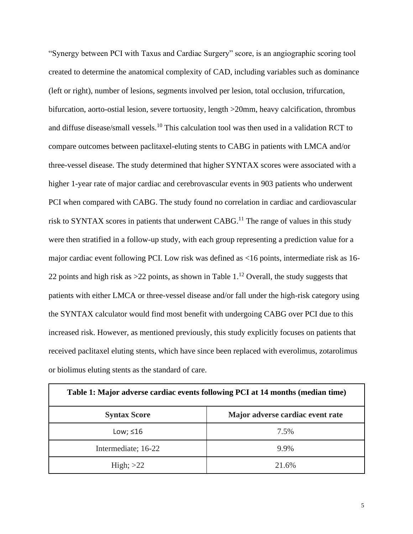"Synergy between PCI with Taxus and Cardiac Surgery" score, is an angiographic scoring tool created to determine the anatomical complexity of CAD, including variables such as dominance (left or right), number of lesions, segments involved per lesion, total occlusion, trifurcation, bifurcation, aorto-ostial lesion, severe tortuosity, length >20mm, heavy calcification, thrombus and diffuse disease/small vessels.<sup>10</sup> This calculation tool was then used in a validation RCT to compare outcomes between paclitaxel-eluting stents to CABG in patients with LMCA and/or three-vessel disease. The study determined that higher SYNTAX scores were associated with a higher 1-year rate of major cardiac and cerebrovascular events in 903 patients who underwent PCI when compared with CABG. The study found no correlation in cardiac and cardiovascular risk to SYNTAX scores in patients that underwent CABG.<sup>11</sup> The range of values in this study were then stratified in a follow-up study, with each group representing a prediction value for a major cardiac event following PCI. Low risk was defined as <16 points, intermediate risk as 16- 22 points and high risk as  $>$ 22 points, as shown in Table 1.<sup>12</sup> Overall, the study suggests that patients with either LMCA or three-vessel disease and/or fall under the high-risk category using the SYNTAX calculator would find most benefit with undergoing CABG over PCI due to this increased risk. However, as mentioned previously, this study explicitly focuses on patients that received paclitaxel eluting stents, which have since been replaced with everolimus, zotarolimus or biolimus eluting stents as the standard of care.

|                     | Table 1: Major adverse cardiac events following PCI at 14 months (median time) |
|---------------------|--------------------------------------------------------------------------------|
| <b>Syntax Score</b> | Major adverse cardiac event rate                                               |
| Low; $\leq 16$      | 7.5%                                                                           |
| Intermediate; 16-22 | 9.9%                                                                           |
| High; $>22$         | 21.6%                                                                          |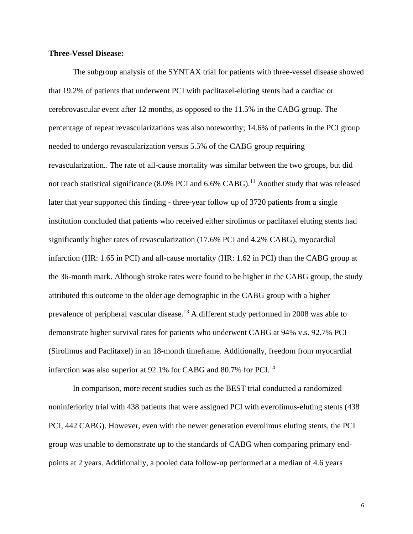#### **Three-Vessel Disease:**

The subgroup analysis of the SYNTAX trial for patients with three-vessel disease showed that 19.2% of patients that underwent PCI with paclitaxel-eluting stents had a cardiac or cerebrovascular event after 12 months, as opposed to the 11.5% in the CABG group. The percentage of repeat revascularizations was also noteworthy; 14.6% of patients in the PCI group needed to undergo revascularization versus 5.5% of the CABG group requiring revascularization.. The rate of all-cause mortality was similar between the two groups, but did not reach statistical significance (8.0% PCI and 6.6% CABG).<sup>11</sup> Another study that was released later that year supported this finding - three-year follow up of 3720 patients from a single institution concluded that patients who received either sirolimus or paclitaxel eluting stents had significantly higher rates of revascularization (17.6% PCI and 4.2% CABG), myocardial infarction (HR: 1.65 in PCI) and all-cause mortality (HR: 1.62 in PCI) than the CABG group at the 36-month mark. Although stroke rates were found to be higher in the CABG group, the study attributed this outcome to the older age demographic in the CABG group with a higher prevalence of peripheral vascular disease.<sup>13</sup> A different study performed in 2008 was able to demonstrate higher survival rates for patients who underwent CABG at 94% v.s. 92.7% PCI (Sirolimus and Paclitaxel) in an 18-month timeframe. Additionally, freedom from myocardial infarction was also superior at 92.1% for CABG and 80.7% for PCI.<sup>14</sup>

In comparison, more recent studies such as the BEST trial conducted a randomized noninferiority trial with 438 patients that were assigned PCI with everolimus-eluting stents (438 PCI, 442 CABG). However, even with the newer generation everolimus eluting stents, the PCI group was unable to demonstrate up to the standards of CABG when comparing primary endpoints at 2 years. Additionally, a pooled data follow-up performed at a median of 4.6 years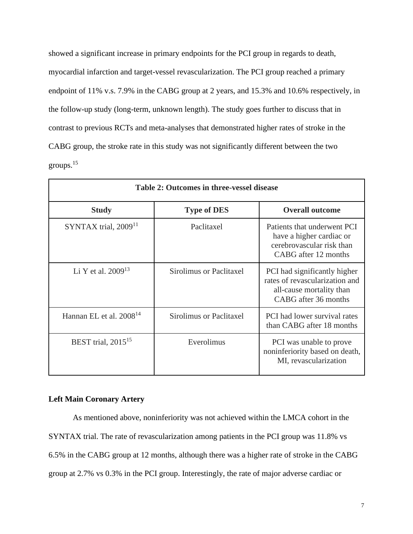showed a significant increase in primary endpoints for the PCI group in regards to death, myocardial infarction and target-vessel revascularization. The PCI group reached a primary endpoint of 11% v.s. 7.9% in the CABG group at 2 years, and 15.3% and 10.6% respectively, in the follow-up study (long-term, unknown length). The study goes further to discuss that in contrast to previous RCTs and meta-analyses that demonstrated higher rates of stroke in the CABG group, the stroke rate in this study was not significantly different between the two groups.<sup>15</sup>

|                              | Table 2: Outcomes in three-vessel disease |                                                                                                                    |
|------------------------------|-------------------------------------------|--------------------------------------------------------------------------------------------------------------------|
| <b>Study</b>                 | <b>Type of DES</b>                        | <b>Overall outcome</b>                                                                                             |
| SYNTAX trial, $200911$       | Paclitaxel                                | Patients that underwent PCI<br>have a higher cardiac or<br>cerebrovascular risk than<br>CABG after 12 months       |
| Li Y et al. $2009^{13}$      | Sirolimus or Paclitaxel                   | PCI had significantly higher<br>rates of revascularization and<br>all-cause mortality than<br>CABG after 36 months |
| Hannan EL et al. $2008^{14}$ | <b>Sirolimus or Paclitaxel</b>            | PCI had lower survival rates<br>than CABG after 18 months                                                          |
| BEST trial, $2015^{15}$      | Everolimus                                | PCI was unable to prove<br>noninferiority based on death,<br>MI, revascularization                                 |

### **Left Main Coronary Artery**

As mentioned above, noninferiority was not achieved within the LMCA cohort in the SYNTAX trial. The rate of revascularization among patients in the PCI group was 11.8% vs 6.5% in the CABG group at 12 months, although there was a higher rate of stroke in the CABG group at 2.7% vs 0.3% in the PCI group. Interestingly, the rate of major adverse cardiac or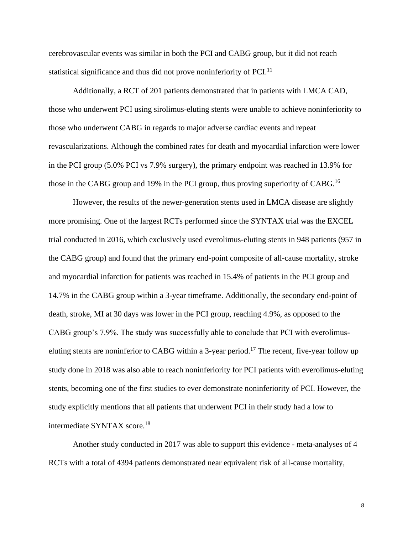cerebrovascular events was similar in both the PCI and CABG group, but it did not reach statistical significance and thus did not prove noninferiority of PCI. $<sup>11</sup>$ </sup>

Additionally, a RCT of 201 patients demonstrated that in patients with LMCA CAD, those who underwent PCI using sirolimus-eluting stents were unable to achieve noninferiority to those who underwent CABG in regards to major adverse cardiac events and repeat revascularizations. Although the combined rates for death and myocardial infarction were lower in the PCI group (5.0% PCI vs 7.9% surgery), the primary endpoint was reached in 13.9% for those in the CABG group and 19% in the PCI group, thus proving superiority of CABG.<sup>16</sup>

However, the results of the newer-generation stents used in LMCA disease are slightly more promising. One of the largest RCTs performed since the SYNTAX trial was the EXCEL trial conducted in 2016, which exclusively used everolimus-eluting stents in 948 patients (957 in the CABG group) and found that the primary end-point composite of all-cause mortality, stroke and myocardial infarction for patients was reached in 15.4% of patients in the PCI group and 14.7% in the CABG group within a 3-year timeframe. Additionally, the secondary end-point of death, stroke, MI at 30 days was lower in the PCI group, reaching 4.9%, as opposed to the CABG group's 7.9%. The study was successfully able to conclude that PCI with everolimuseluting stents are noninferior to CABG within a 3-year period.<sup>17</sup> The recent, five-year follow up study done in 2018 was also able to reach noninferiority for PCI patients with everolimus-eluting stents, becoming one of the first studies to ever demonstrate noninferiority of PCI. However, the study explicitly mentions that all patients that underwent PCI in their study had a low to intermediate SYNTAX score.<sup>18</sup>

Another study conducted in 2017 was able to support this evidence - meta-analyses of 4 RCTs with a total of 4394 patients demonstrated near equivalent risk of all-cause mortality,

8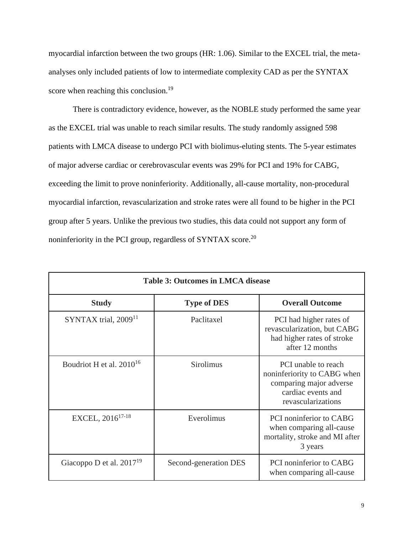myocardial infarction between the two groups (HR: 1.06). Similar to the EXCEL trial, the metaanalyses only included patients of low to intermediate complexity CAD as per the SYNTAX score when reaching this conclusion.<sup>19</sup>

There is contradictory evidence, however, as the NOBLE study performed the same year as the EXCEL trial was unable to reach similar results. The study randomly assigned 598 patients with LMCA disease to undergo PCI with biolimus-eluting stents. The 5-year estimates of major adverse cardiac or cerebrovascular events was 29% for PCI and 19% for CABG, exceeding the limit to prove noninferiority. Additionally, all-cause mortality, non-procedural myocardial infarction, revascularization and stroke rates were all found to be higher in the PCI group after 5 years. Unlike the previous two studies, this data could not support any form of noninferiority in the PCI group, regardless of SYNTAX score.<sup>20</sup>

|                               | <b>Table 3: Outcomes in LMCA disease</b> |                                                                                                                           |
|-------------------------------|------------------------------------------|---------------------------------------------------------------------------------------------------------------------------|
| <b>Study</b>                  | <b>Type of DES</b>                       | <b>Overall Outcome</b>                                                                                                    |
| SYNTAX trial, $200911$        | Paclitaxel                               | PCI had higher rates of<br>revascularization, but CABG<br>had higher rates of stroke<br>after 12 months                   |
| Boudriot H et al. $2010^{16}$ | <b>Sirolimus</b>                         | PCI unable to reach<br>noninferiority to CABG when<br>comparing major adverse<br>cardiac events and<br>revascularizations |
| EXCEL, 2016 <sup>17-18</sup>  | Everolimus                               | PCI noninferior to CABG<br>when comparing all-cause<br>mortality, stroke and MI after<br>3 years                          |
| Giacoppo D et al. $2017^{19}$ | Second-generation DES                    | PCI noninferior to CABG<br>when comparing all-cause                                                                       |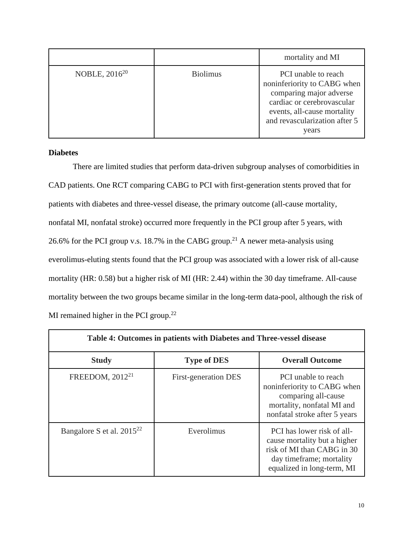|                    |                 | mortality and MI                                                                                                                                                                     |
|--------------------|-----------------|--------------------------------------------------------------------------------------------------------------------------------------------------------------------------------------|
| NOBLE, $2016^{20}$ | <b>Biolimus</b> | PCI unable to reach<br>noninferiority to CABG when<br>comparing major adverse<br>cardiac or cerebrovascular<br>events, all-cause mortality<br>and revascularization after 5<br>years |

## **Diabetes**

There are limited studies that perform data-driven subgroup analyses of comorbidities in CAD patients. One RCT comparing CABG to PCI with first-generation stents proved that for patients with diabetes and three-vessel disease, the primary outcome (all-cause mortality, nonfatal MI, nonfatal stroke) occurred more frequently in the PCI group after 5 years, with 26.6% for the PCI group v.s. 18.7% in the CABG group.<sup>21</sup> A newer meta-analysis using everolimus-eluting stents found that the PCI group was associated with a lower risk of all-cause mortality (HR: 0.58) but a higher risk of MI (HR: 2.44) within the 30 day timeframe. All-cause mortality between the two groups became similar in the long-term data-pool, although the risk of MI remained higher in the PCI group. $22$ 

|                                | Table 4: Outcomes in patients with Diabetes and Three-vessel disease |                                                                                                                                                    |
|--------------------------------|----------------------------------------------------------------------|----------------------------------------------------------------------------------------------------------------------------------------------------|
| <b>Study</b>                   | <b>Type of DES</b>                                                   | <b>Overall Outcome</b>                                                                                                                             |
| FREEDOM, 2012 <sup>21</sup>    | First-generation DES                                                 | PCI unable to reach<br>noninferiority to CABG when<br>comparing all-cause<br>mortality, nonfatal MI and<br>nonfatal stroke after 5 years           |
| Bangalore S et al. $2015^{22}$ | Everolimus                                                           | PCI has lower risk of all-<br>cause mortality but a higher<br>risk of MI than CABG in 30<br>day timeframe; mortality<br>equalized in long-term, MI |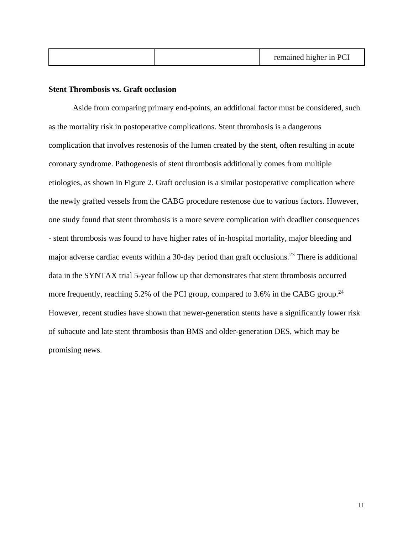|--|

### **Stent Thrombosis vs. Graft occlusion**

Aside from comparing primary end-points, an additional factor must be considered, such as the mortality risk in postoperative complications. Stent thrombosis is a dangerous complication that involves restenosis of the lumen created by the stent, often resulting in acute coronary syndrome. Pathogenesis of stent thrombosis additionally comes from multiple etiologies, as shown in Figure 2. Graft occlusion is a similar postoperative complication where the newly grafted vessels from the CABG procedure restenose due to various factors. However, one study found that stent thrombosis is a more severe complication with deadlier consequences - stent thrombosis was found to have higher rates of in-hospital mortality, major bleeding and major adverse cardiac events within a 30-day period than graft occlusions.<sup>23</sup> There is additional data in the SYNTAX trial 5-year follow up that demonstrates that stent thrombosis occurred more frequently, reaching  $5.2\%$  of the PCI group, compared to  $3.6\%$  in the CABG group.<sup>24</sup> However, recent studies have shown that newer-generation stents have a significantly lower risk of subacute and late stent thrombosis than BMS and older-generation DES, which may be promising news.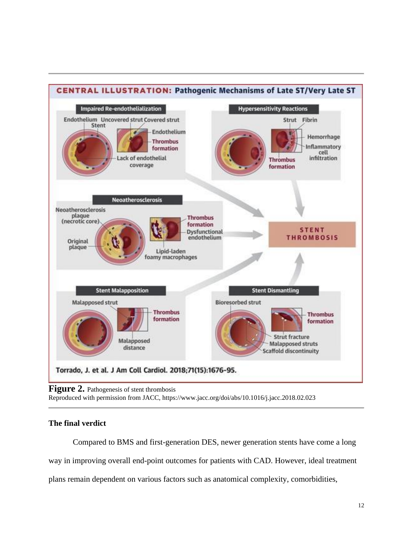

Figure 2. Pathogenesis of stent thrombosis

Reproduced with permission from JACC, https://www.jacc.org/doi/abs/10.1016/j.jacc.2018.02.023

# **The final verdict**

Compared to BMS and first-generation DES, newer generation stents have come a long way in improving overall end-point outcomes for patients with CAD. However, ideal treatment plans remain dependent on various factors such as anatomical complexity, comorbidities,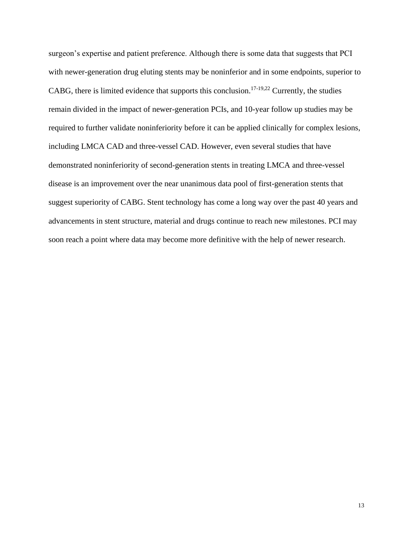surgeon's expertise and patient preference. Although there is some data that suggests that PCI with newer-generation drug eluting stents may be noninferior and in some endpoints, superior to CABG, there is limited evidence that supports this conclusion.<sup>17-19,22</sup> Currently, the studies remain divided in the impact of newer-generation PCIs, and 10-year follow up studies may be required to further validate noninferiority before it can be applied clinically for complex lesions, including LMCA CAD and three-vessel CAD. However, even several studies that have demonstrated noninferiority of second-generation stents in treating LMCA and three-vessel disease is an improvement over the near unanimous data pool of first-generation stents that suggest superiority of CABG. Stent technology has come a long way over the past 40 years and advancements in stent structure, material and drugs continue to reach new milestones. PCI may soon reach a point where data may become more definitive with the help of newer research.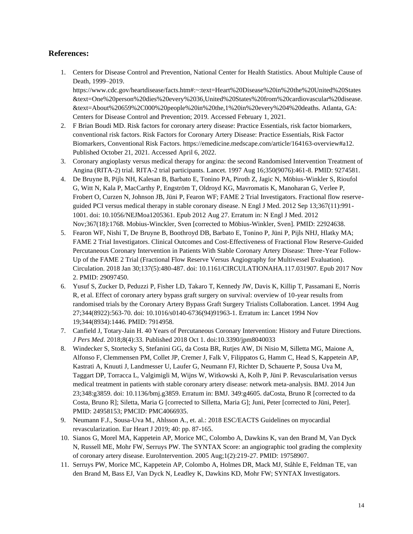### **References:**

1. Centers for Disease Control and Prevention, National Center for Health Statistics. [About Multiple Cause of](https://wonder.cdc.gov/mcd-icd10.html)  [Death, 1999–2019.](https://wonder.cdc.gov/mcd-icd10.html)

https://www.cdc.gov/heartdisease/facts.htm#:~:text=Heart%20Disease%20in%20the%20United%20States &text=One%20person%20dies%20every%2036,United%20States%20from%20cardiovascular%20disease. &text=About%20659%2C000%20people%20in%20the,1%20in%20every%204%20deaths. Atlanta, GA: Centers for Disease Control and Prevention; 2019. Accessed February 1, 2021.

- 2. F Brian Boudi MD. Risk factors for coronary artery disease: Practice Essentials, risk factor biomarkers, conventional risk factors. Risk Factors for Coronary Artery Disease: Practice Essentials, Risk Factor Biomarkers, Conventional Risk Factors. https://emedicine.medscape.com/article/164163-overview#a12. Published October 21, 2021. Accessed April 6, 2022.
- 3. Coronary angioplasty versus medical therapy for angina: the second Randomised Intervention Treatment of Angina (RITA-2) trial. RITA-2 trial participants. Lancet. 1997 Aug 16;350(9076):461-8. PMID: 9274581.
- 4. De Bruyne B, Pijls NH, Kalesan B, Barbato E, Tonino PA, Piroth Z, Jagic N, Möbius-Winkler S, Rioufol G, Witt N, Kala P, MacCarthy P, Engström T, Oldroyd KG, Mavromatis K, Manoharan G, Verlee P, Frobert O, Curzen N, Johnson JB, Jüni P, Fearon WF; FAME 2 Trial Investigators. Fractional flow reserveguided PCI versus medical therapy in stable coronary disease. N Engl J Med. 2012 Sep 13;367(11):991- 1001. doi: 10.1056/NEJMoa1205361. Epub 2012 Aug 27. Erratum in: N Engl J Med. 2012 Nov;367(18):1768. Mobius-Winckler, Sven [corrected to Möbius-Winkler, Sven]. PMID: 22924638.
- 5. Fearon WF, Nishi T, De Bruyne B, Boothroyd DB, Barbato E, Tonino P, Jüni P, Pijls NHJ, Hlatky MA; FAME 2 Trial Investigators. Clinical Outcomes and Cost-Effectiveness of Fractional Flow Reserve-Guided Percutaneous Coronary Intervention in Patients With Stable Coronary Artery Disease: Three-Year Follow-Up of the FAME 2 Trial (Fractional Flow Reserve Versus Angiography for Multivessel Evaluation). Circulation. 2018 Jan 30;137(5):480-487. doi: 10.1161/CIRCULATIONAHA.117.031907. Epub 2017 Nov 2. PMID: 29097450.
- 6. Yusuf S, Zucker D, Peduzzi P, Fisher LD, Takaro T, Kennedy JW, Davis K, Killip T, Passamani E, Norris R, et al. Effect of coronary artery bypass graft surgery on survival: overview of 10-year results from randomised trials by the Coronary Artery Bypass Graft Surgery Trialists Collaboration. Lancet. 1994 Aug 27;344(8922):563-70. doi: 10.1016/s0140-6736(94)91963-1. Erratum in: Lancet 1994 Nov 19;344(8934):1446. PMID: 7914958.
- 7. Canfield J, Totary-Jain H. 40 Years of Percutaneous Coronary Intervention: History and Future Directions. *J Pers Med*. 2018;8(4):33. Published 2018 Oct 1. doi:10.3390/jpm8040033
- 8. Windecker S, Stortecky S, Stefanini GG, da Costa BR, Rutjes AW, Di Nisio M, Silletta MG, Maione A, Alfonso F, Clemmensen PM, Collet JP, Cremer J, Falk V, Filippatos G, Hamm C, Head S, Kappetein AP, Kastrati A, Knuuti J, Landmesser U, Laufer G, Neumann FJ, Richter D, Schauerte P, Sousa Uva M, Taggart DP, Torracca L, Valgimigli M, Wijns W, Witkowski A, Kolh P, Jüni P. Revascularisation versus medical treatment in patients with stable coronary artery disease: network meta-analysis. BMJ. 2014 Jun 23;348:g3859. doi: 10.1136/bmj.g3859. Erratum in: BMJ. 349:g4605. daCosta, Bruno R [corrected to da Costa, Bruno R]; Siletta, Maria G [corrected to Silletta, Maria G]; Juni, Peter [corrected to Jüni, Peter]. PMID: 24958153; PMCID: PMC4066935.
- 9. Neumann F.J., Sousa-Uva M., Ahlsson A., et. al.: 2018 ESC/EACTS Guidelines on myocardial revascularization. Eur Heart J 2019; 40: pp. 87-165.
- 10. Sianos G, Morel MA, Kappetein AP, Morice MC, Colombo A, Dawkins K, van den Brand M, Van Dyck N, Russell ME, Mohr FW, Serruys PW. The SYNTAX Score: an angiographic tool grading the complexity of coronary artery disease. EuroIntervention. 2005 Aug;1(2):219-27. PMID: 19758907.
- 11. Serruys PW, Morice MC, Kappetein AP, Colombo A, Holmes DR, Mack MJ, Ståhle E, Feldman TE, van den Brand M, Bass EJ, Van Dyck N, Leadley K, Dawkins KD, Mohr FW; SYNTAX Investigators.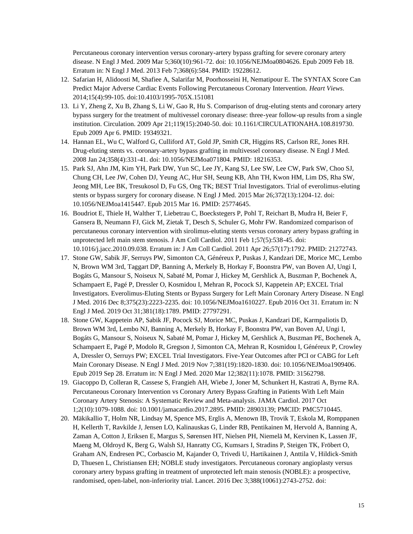Percutaneous coronary intervention versus coronary-artery bypass grafting for severe coronary artery disease. N Engl J Med. 2009 Mar 5;360(10):961-72. doi: 10.1056/NEJMoa0804626. Epub 2009 Feb 18. Erratum in: N Engl J Med. 2013 Feb 7;368(6):584. PMID: 19228612.

- 12. Safarian H, Alidoosti M, Shafiee A, Salarifar M, Poorhosseini H, Nematipour E. The SYNTAX Score Can Predict Major Adverse Cardiac Events Following Percutaneous Coronary Intervention. *Heart Views*. 2014;15(4):99-105. doi:10.4103/1995-705X.151081
- 13. Li Y, Zheng Z, Xu B, Zhang S, Li W, Gao R, Hu S. Comparison of drug-eluting stents and coronary artery bypass surgery for the treatment of multivessel coronary disease: three-year follow-up results from a single institution. Circulation. 2009 Apr 21;119(15):2040-50. doi: 10.1161/CIRCULATIONAHA.108.819730. Epub 2009 Apr 6. PMID: 19349321.
- 14. Hannan EL, Wu C, Walford G, Culliford AT, Gold JP, Smith CR, Higgins RS, Carlson RE, Jones RH. Drug-eluting stents vs. coronary-artery bypass grafting in multivessel coronary disease. N Engl J Med. 2008 Jan 24;358(4):331-41. doi: 10.1056/NEJMoa071804. PMID: 18216353.
- 15. Park SJ, Ahn JM, Kim YH, Park DW, Yun SC, Lee JY, Kang SJ, Lee SW, Lee CW, Park SW, Choo SJ, Chung CH, Lee JW, Cohen DJ, Yeung AC, Hur SH, Seung KB, Ahn TH, Kwon HM, Lim DS, Rha SW, Jeong MH, Lee BK, Tresukosol D, Fu GS, Ong TK; BEST Trial Investigators. Trial of everolimus-eluting stents or bypass surgery for coronary disease. N Engl J Med. 2015 Mar 26;372(13):1204-12. doi: 10.1056/NEJMoa1415447. Epub 2015 Mar 16. PMID: 25774645.
- 16. Boudriot E, Thiele H, Walther T, Liebetrau C, Boeckstegers P, Pohl T, Reichart B, Mudra H, Beier F, Gansera B, Neumann FJ, Gick M, Zietak T, Desch S, Schuler G, Mohr FW. Randomized comparison of percutaneous coronary intervention with sirolimus-eluting stents versus coronary artery bypass grafting in unprotected left main stem stenosis. J Am Coll Cardiol. 2011 Feb 1;57(5):538-45. doi: 10.1016/j.jacc.2010.09.038. Erratum in: J Am Coll Cardiol. 2011 Apr 26;57(17):1792. PMID: 21272743.
- 17. Stone GW, Sabik JF, Serruys PW, Simonton CA, Généreux P, Puskas J, Kandzari DE, Morice MC, Lembo N, Brown WM 3rd, Taggart DP, Banning A, Merkely B, Horkay F, Boonstra PW, van Boven AJ, Ungi I, Bogáts G, Mansour S, Noiseux N, Sabaté M, Pomar J, Hickey M, Gershlick A, Buszman P, Bochenek A, Schampaert E, Pagé P, Dressler O, Kosmidou I, Mehran R, Pocock SJ, Kappetein AP; EXCEL Trial Investigators. Everolimus-Eluting Stents or Bypass Surgery for Left Main Coronary Artery Disease. N Engl J Med. 2016 Dec 8;375(23):2223-2235. doi: 10.1056/NEJMoa1610227. Epub 2016 Oct 31. Erratum in: N Engl J Med. 2019 Oct 31;381(18):1789. PMID: 27797291.
- 18. Stone GW, Kappetein AP, Sabik JF, Pocock SJ, Morice MC, Puskas J, Kandzari DE, Karmpaliotis D, Brown WM 3rd, Lembo NJ, Banning A, Merkely B, Horkay F, Boonstra PW, van Boven AJ, Ungi I, Bogáts G, Mansour S, Noiseux N, Sabaté M, Pomar J, Hickey M, Gershlick A, Buszman PE, Bochenek A, Schampaert E, Pagé P, Modolo R, Gregson J, Simonton CA, Mehran R, Kosmidou I, Généreux P, Crowley A, Dressler O, Serruys PW; EXCEL Trial Investigators. Five-Year Outcomes after PCI or CABG for Left Main Coronary Disease. N Engl J Med. 2019 Nov 7;381(19):1820-1830. doi: 10.1056/NEJMoa1909406. Epub 2019 Sep 28. Erratum in: N Engl J Med. 2020 Mar 12;382(11):1078. PMID: 31562798.
- 19. Giacoppo D, Colleran R, Cassese S, Frangieh AH, Wiebe J, Joner M, Schunkert H, Kastrati A, Byrne RA. Percutaneous Coronary Intervention vs Coronary Artery Bypass Grafting in Patients With Left Main Coronary Artery Stenosis: A Systematic Review and Meta-analysis. JAMA Cardiol. 2017 Oct 1;2(10):1079-1088. doi: 10.1001/jamacardio.2017.2895. PMID: 28903139; PMCID: PMC5710445.
- 20. Mäkikallio T, Holm NR, Lindsay M, Spence MS, Erglis A, Menown IB, Trovik T, Eskola M, Romppanen H, Kellerth T, Ravkilde J, Jensen LO, Kalinauskas G, Linder RB, Pentikainen M, Hervold A, Banning A, Zaman A, Cotton J, Eriksen E, Margus S, Sørensen HT, Nielsen PH, Niemelä M, Kervinen K, Lassen JF, Maeng M, Oldroyd K, Berg G, Walsh SJ, Hanratty CG, Kumsars I, Stradins P, Steigen TK, Fröbert O, Graham AN, Endresen PC, Corbascio M, Kajander O, Trivedi U, Hartikainen J, Anttila V, Hildick-Smith D, Thuesen L, Christiansen EH; NOBLE study investigators. Percutaneous coronary angioplasty versus coronary artery bypass grafting in treatment of unprotected left main stenosis (NOBLE): a prospective, randomised, open-label, non-inferiority trial. Lancet. 2016 Dec 3;388(10061):2743-2752. doi: